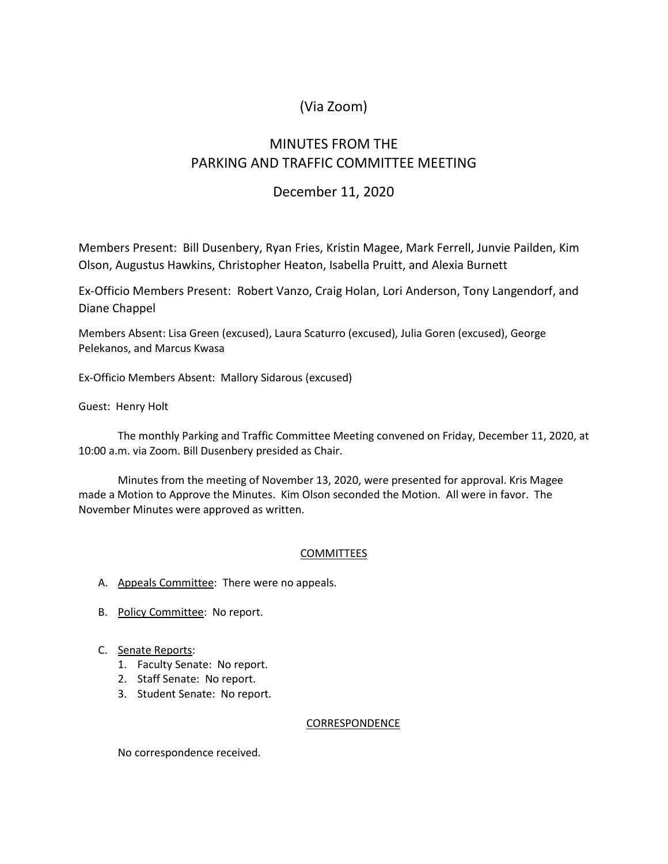# (Via Zoom)

# MINUTES FROM THE PARKING AND TRAFFIC COMMITTEE MEETING

## December 11, 2020

Members Present: Bill Dusenbery, Ryan Fries, Kristin Magee, Mark Ferrell, Junvie Pailden, Kim Olson, Augustus Hawkins, Christopher Heaton, Isabella Pruitt, and Alexia Burnett

Ex-Officio Members Present: Robert Vanzo, Craig Holan, Lori Anderson, Tony Langendorf, and Diane Chappel

Members Absent: Lisa Green (excused), Laura Scaturro (excused), Julia Goren (excused), George Pelekanos, and Marcus Kwasa

Ex-Officio Members Absent: Mallory Sidarous (excused)

Guest: Henry Holt

The monthly Parking and Traffic Committee Meeting convened on Friday, December 11, 2020, at 10:00 a.m. via Zoom. Bill Dusenbery presided as Chair.

Minutes from the meeting of November 13, 2020, were presented for approval. Kris Magee made a Motion to Approve the Minutes. Kim Olson seconded the Motion. All were in favor. The November Minutes were approved as written.

## COMMITTEES

- A. Appeals Committee: There were no appeals.
- B. Policy Committee: No report.
- C. Senate Reports:
	- 1. Faculty Senate: No report.
	- 2. Staff Senate: No report.
	- 3. Student Senate: No report.

#### CORRESPONDENCE

No correspondence received.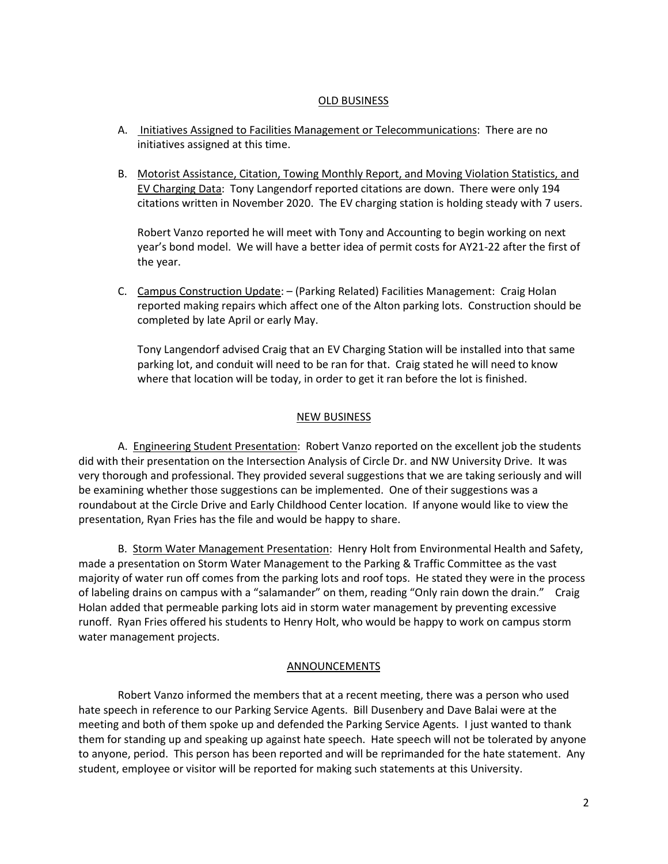### OLD BUSINESS

- A. Initiatives Assigned to Facilities Management or Telecommunications: There are no initiatives assigned at this time.
- B. Motorist Assistance, Citation, Towing Monthly Report, and Moving Violation Statistics, and EV Charging Data: Tony Langendorf reported citations are down. There were only 194 citations written in November 2020. The EV charging station is holding steady with 7 users.

Robert Vanzo reported he will meet with Tony and Accounting to begin working on next year's bond model. We will have a better idea of permit costs for AY21-22 after the first of the year.

C. Campus Construction Update: – (Parking Related) Facilities Management: Craig Holan reported making repairs which affect one of the Alton parking lots. Construction should be completed by late April or early May.

Tony Langendorf advised Craig that an EV Charging Station will be installed into that same parking lot, and conduit will need to be ran for that. Craig stated he will need to know where that location will be today, in order to get it ran before the lot is finished.

### NEW BUSINESS

A. Engineering Student Presentation: Robert Vanzo reported on the excellent job the students did with their presentation on the Intersection Analysis of Circle Dr. and NW University Drive. It was very thorough and professional. They provided several suggestions that we are taking seriously and will be examining whether those suggestions can be implemented. One of their suggestions was a roundabout at the Circle Drive and Early Childhood Center location. If anyone would like to view the presentation, Ryan Fries has the file and would be happy to share.

B. Storm Water Management Presentation: Henry Holt from Environmental Health and Safety, made a presentation on Storm Water Management to the Parking & Traffic Committee as the vast majority of water run off comes from the parking lots and roof tops. He stated they were in the process of labeling drains on campus with a "salamander" on them, reading "Only rain down the drain." Craig Holan added that permeable parking lots aid in storm water management by preventing excessive runoff. Ryan Fries offered his students to Henry Holt, who would be happy to work on campus storm water management projects.

#### **ANNOUNCEMENTS**

Robert Vanzo informed the members that at a recent meeting, there was a person who used hate speech in reference to our Parking Service Agents. Bill Dusenbery and Dave Balai were at the meeting and both of them spoke up and defended the Parking Service Agents. I just wanted to thank them for standing up and speaking up against hate speech. Hate speech will not be tolerated by anyone to anyone, period. This person has been reported and will be reprimanded for the hate statement. Any student, employee or visitor will be reported for making such statements at this University.